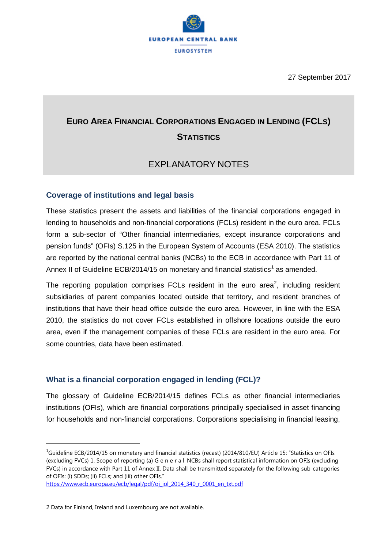

# **EURO AREA FINANCIAL CORPORATIONS ENGAGED IN LENDING (FCLS) STATISTICS**

# EXPLANATORY NOTES

### **Coverage of institutions and legal basis**

These statistics present the assets and liabilities of the financial corporations engaged in lending to households and non-financial corporations (FCLs) resident in the euro area. FCLs form a sub-sector of "Other financial intermediaries, except insurance corporations and pension funds" (OFIs) S.125 in the European System of Accounts (ESA 2010). The statistics are reported by the national central banks (NCBs) to the ECB in accordance with Part 11 of Annex II of Guideline ECB/20[1](#page-0-0)4/15 on monetary and financial statistics<sup>1</sup> as amended.

The reporting population comprises FCLs resident in the euro area<sup>[2](#page-0-1)</sup>, including resident subsidiaries of parent companies located outside that territory, and resident branches of institutions that have their head office outside the euro area. However, in line with the ESA 2010, the statistics do not cover FCLs established in offshore locations outside the euro area, even if the management companies of these FCLs are resident in the euro area. For some countries, data have been estimated.

# **What is a financial corporation engaged in lending (FCL)?**

The glossary of Guideline ECB/2014/15 defines FCLs as other financial intermediaries institutions (OFIs), which are financial corporations principally specialised in asset financing for households and non-financial corporations. Corporations specialising in financial leasing,

<span id="page-0-0"></span><sup>|&</sup>lt;br>|<br>|  $^{1}$ Guideline ECB/2014/15 on monetary and financial statistics (recast) (2014/810/EU) Article 15: "Statistics on OFIs (excluding FVCs) 1. Scope of reporting (a) G e n e r a l NCBs shall report statistical information on OFIs (excluding FVCs) in accordance with Part 11 of Annex II. Data shall be transmitted separately for the following sub-categories of OFIs: (i) SDDs; (ii) FCLs; and (iii) other OFIs."

[https://www.ecb.europa.eu/ecb/legal/pdf/oj\\_jol\\_2014\\_340\\_r\\_0001\\_en\\_txt.pdf](https://www.ecb.europa.eu/ecb/legal/pdf/oj_jol_2014_340_r_0001_en_txt.pdf)

<span id="page-0-1"></span><sup>2</sup> Data for Finland, Ireland and Luxembourg are not available.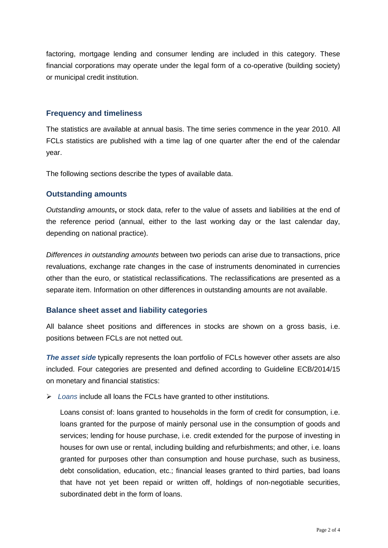factoring, mortgage lending and consumer lending are included in this category. These financial corporations may operate under the legal form of a co-operative (building society) or municipal credit institution.

#### **Frequency and timeliness**

The statistics are available at annual basis. The time series commence in the year 2010. All FCLs statistics are published with a time lag of one quarter after the end of the calendar year.

The following sections describe the types of available data.

#### **Outstanding amounts**

*Outstanding amounts***,** or stock data, refer to the value of assets and liabilities at the end of the reference period (annual, either to the last working day or the last calendar day, depending on national practice).

*Differences in outstanding amounts* between two periods can arise due to transactions, price revaluations, exchange rate changes in the case of instruments denominated in currencies other than the euro, or statistical reclassifications. The reclassifications are presented as a separate item. Information on other differences in outstanding amounts are not available.

#### **Balance sheet asset and liability categories**

All balance sheet positions and differences in stocks are shown on a gross basis, i.e. positions between FCLs are not netted out.

*The asset side* typically represents the loan portfolio of FCLs however other assets are also included. Four categories are presented and defined according to Guideline ECB/2014/15 on monetary and financial statistics:

*Loans* include all loans the FCLs have granted to other institutions.

Loans consist of: loans granted to households in the form of credit for consumption, i.e. loans granted for the purpose of mainly personal use in the consumption of goods and services; lending for house purchase, i.e. credit extended for the purpose of investing in houses for own use or rental, including building and refurbishments; and other, i.e. loans granted for purposes other than consumption and house purchase, such as business, debt consolidation, education, etc.; financial leases granted to third parties, bad loans that have not yet been repaid or written off, holdings of non-negotiable securities, subordinated debt in the form of loans.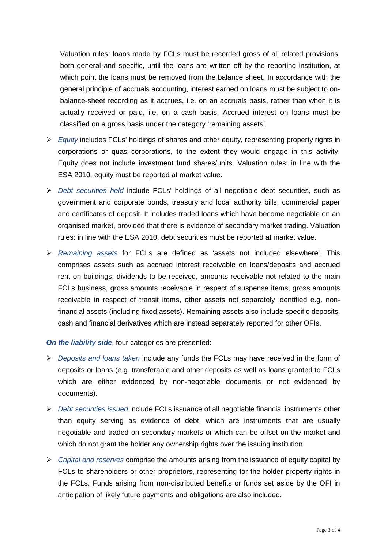Valuation rules: loans made by FCLs must be recorded gross of all related provisions, both general and specific, until the loans are written off by the reporting institution, at which point the loans must be removed from the balance sheet. In accordance with the general principle of accruals accounting, interest earned on loans must be subject to onbalance-sheet recording as it accrues, i.e. on an accruals basis, rather than when it is actually received or paid, i.e. on a cash basis. Accrued interest on loans must be classified on a gross basis under the category 'remaining assets'.

- *Equity* includes FCLs' holdings of shares and other equity, representing property rights in corporations or quasi-corporations, to the extent they would engage in this activity. Equity does not include investment fund shares/units. Valuation rules: in line with the ESA 2010, equity must be reported at market value.
- *Debt securities held* include FCLs' holdings of all negotiable debt securities, such as government and corporate bonds, treasury and local authority bills, commercial paper and certificates of deposit. It includes traded loans which have become negotiable on an organised market, provided that there is evidence of secondary market trading. Valuation rules: in line with the ESA 2010, debt securities must be reported at market value.
- *Remaining assets* for FCLs are defined as 'assets not included elsewhere'. This comprises assets such as accrued interest receivable on loans/deposits and accrued rent on buildings, dividends to be received, amounts receivable not related to the main FCLs business, gross amounts receivable in respect of suspense items, gross amounts receivable in respect of transit items, other assets not separately identified e.g. nonfinancial assets (including fixed assets). Remaining assets also include specific deposits, cash and financial derivatives which are instead separately reported for other OFIs.

#### *On the liability side*, four categories are presented:

- *Deposits and loans taken* include any funds the FCLs may have received in the form of deposits or loans (e.g. transferable and other deposits as well as loans granted to FCLs which are either evidenced by non-negotiable documents or not evidenced by documents).
- *Debt securities issued* include FCLs issuance of all negotiable financial instruments other than equity serving as evidence of debt, which are instruments that are usually negotiable and traded on secondary markets or which can be offset on the market and which do not grant the holder any ownership rights over the issuing institution.
- *Capital and reserves* comprise the amounts arising from the issuance of equity capital by FCLs to shareholders or other proprietors, representing for the holder property rights in the FCLs. Funds arising from non-distributed benefits or funds set aside by the OFI in anticipation of likely future payments and obligations are also included.